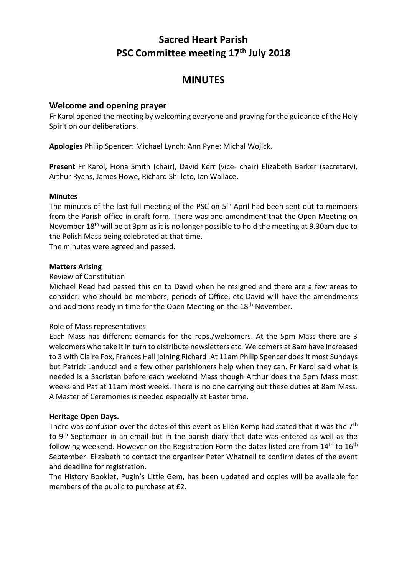# **Sacred Heart Parish PSC Committee meeting 17th July 2018**

## **MINUTES**

## **Welcome and opening prayer**

Fr Karol opened the meeting by welcoming everyone and praying for the guidance of the Holy Spirit on our deliberations.

**Apologies** Philip Spencer: Michael Lynch: Ann Pyne: Michal Wojick.

**Present** Fr Karol, Fiona Smith (chair), David Kerr (vice- chair) Elizabeth Barker (secretary), Arthur Ryans, James Howe, Richard Shilleto, Ian Wallace**.**

#### **Minutes**

The minutes of the last full meeting of the PSC on 5<sup>th</sup> April had been sent out to members from the Parish office in draft form. There was one amendment that the Open Meeting on November 18<sup>th</sup> will be at 3pm as it is no longer possible to hold the meeting at 9.30am due to the Polish Mass being celebrated at that time.

The minutes were agreed and passed.

#### **Matters Arising**

#### Review of Constitution

Michael Read had passed this on to David when he resigned and there are a few areas to consider: who should be members, periods of Office, etc David will have the amendments and additions ready in time for the Open Meeting on the 18<sup>th</sup> November.

#### Role of Mass representatives

Each Mass has different demands for the reps./welcomers. At the 5pm Mass there are 3 welcomers who take it in turn to distribute newsletters etc. Welcomers at 8am have increased to 3 with Claire Fox, Frances Hall joining Richard .At 11am Philip Spencer does it most Sundays but Patrick Landucci and a few other parishioners help when they can. Fr Karol said what is needed is a Sacristan before each weekend Mass though Arthur does the 5pm Mass most weeks and Pat at 11am most weeks. There is no one carrying out these duties at 8am Mass. A Master of Ceremonies is needed especially at Easter time.

#### **Heritage Open Days.**

There was confusion over the dates of this event as Ellen Kemp had stated that it was the 7<sup>th</sup> to 9<sup>th</sup> September in an email but in the parish diary that date was entered as well as the following weekend. However on the Registration Form the dates listed are from  $14<sup>th</sup>$  to  $16<sup>th</sup>$ September. Elizabeth to contact the organiser Peter Whatnell to confirm dates of the event and deadline for registration.

The History Booklet, Pugin's Little Gem, has been updated and copies will be available for members of the public to purchase at £2.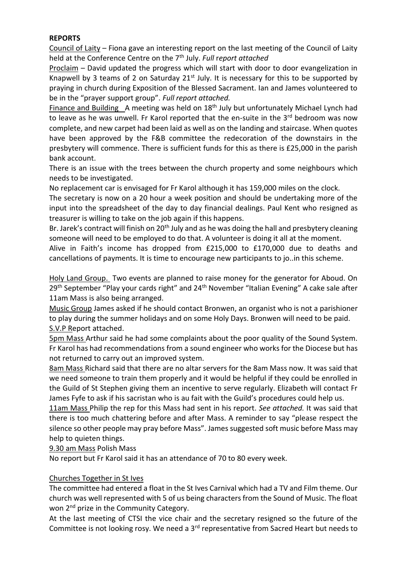## **REPORTS**

Council of Laity – Fiona gave an interesting report on the last meeting of the Council of Laity held at the Conference Centre on the 7th July. *Full* r*eport attached*

Proclaim – David updated the progress which will start with door to door evangelization in Knapwell by 3 teams of 2 on Saturday  $21<sup>st</sup>$  July. It is necessary for this to be supported by praying in church during Exposition of the Blessed Sacrament. Ian and James volunteered to be in the "prayer support group". *Full report attached.*

Finance and Building A meeting was held on  $18<sup>th</sup>$  July but unfortunately Michael Lynch had to leave as he was unwell. Fr Karol reported that the en-suite in the 3<sup>rd</sup> bedroom was now complete, and new carpet had been laid as well as on the landing and staircase. When quotes have been approved by the F&B committee the redecoration of the downstairs in the presbytery will commence. There is sufficient funds for this as there is £25,000 in the parish bank account.

There is an issue with the trees between the church property and some neighbours which needs to be investigated.

No replacement car is envisaged for Fr Karol although it has 159,000 miles on the clock.

The secretary is now on a 20 hour a week position and should be undertaking more of the input into the spreadsheet of the day to day financial dealings. Paul Kent who resigned as treasurer is willing to take on the job again if this happens.

Br. Jarek's contract will finish on 20<sup>th</sup> July and as he was doing the hall and presbytery cleaning someone will need to be employed to do that. A volunteer is doing it all at the moment.

Alive in Faith's income has dropped from £215,000 to £170,000 due to deaths and cancellations of payments. It is time to encourage new participants to jo..in this scheme.

Holy Land Group. Two events are planned to raise money for the generator for Aboud. On 29<sup>th</sup> September "Play your cards right" and 24<sup>th</sup> November "Italian Evening" A cake sale after 11am Mass is also being arranged.

Music Group James asked if he should contact Bronwen, an organist who is not a parishioner to play during the summer holidays and on some Holy Days. Bronwen will need to be paid. S.V.P Report attached.

5pm Mass Arthur said he had some complaints about the poor quality of the Sound System. Fr Karol has had recommendations from a sound engineer who works for the Diocese but has not returned to carry out an improved system.

8am Mass Richard said that there are no altar servers for the 8am Mass now. It was said that we need someone to train them properly and it would be helpful if they could be enrolled in the Guild of St Stephen giving them an incentive to serve regularly. Elizabeth will contact Fr James Fyfe to ask if his sacristan who is au fait with the Guild's procedures could help us.

11am Mass Philip the rep for this Mass had sent in his report. *See attached.* It was said that there is too much chattering before and after Mass. A reminder to say "please respect the silence so other people may pray before Mass". James suggested soft music before Mass may help to quieten things.

## 9.30 am Mass Polish Mass

No report but Fr Karol said it has an attendance of 70 to 80 every week.

## Churches Together in St Ives

The committee had entered a float in the St Ives Carnival which had a TV and Film theme. Our church was well represented with 5 of us being characters from the Sound of Music. The float won 2<sup>nd</sup> prize in the Community Category.

At the last meeting of CTSI the vice chair and the secretary resigned so the future of the Committee is not looking rosy. We need a 3<sup>rd</sup> representative from Sacred Heart but needs to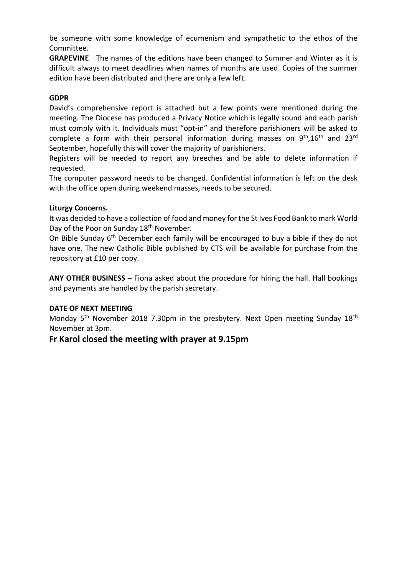be someone with some knowledge of ecumenism and sympathetic to the ethos of the Committee.

**GRAPEVINE** The names of the editions have been changed to Summer and Winter as it is difficult always to meet deadlines when names of months are used. Copies of the summer edition have been distributed and there are only a few left.

#### **GDPR**

David's comprehensive report is attached but a few points were mentioned during the meeting. The Diocese has produced a Privacy Notice which is legally sound and each parish must comply with it. Individuals must "opt-in" and therefore parishioners will be asked to complete a form with their personal information during masses on  $9<sup>th</sup>, 16<sup>th</sup>$  and  $23<sup>rd</sup>$ September, hopefully this will cover the majority of parishioners.

Registers will be needed to report any breeches and be able to delete information if requested.

The computer password needs to be changed. Confidential information is left on the desk with the office open during weekend masses, needs to be secured.

#### **Liturgy Concerns.**

It was decided to have a collection of food and money for the St Ives Food Bank to mark World Day of the Poor on Sunday 18<sup>th</sup> November.

On Bible Sunday 6th December each family will be encouraged to buy a bible if they do not have one. The new Catholic Bible published by CTS will be available for purchase from the repository at £10 per copy.

**ANY OTHER BUSINESS** – Fiona asked about the procedure for hiring the hall. Hall bookings and payments are handled by the parish secretary.

#### **DATE OF NEXT MEETING**

Monday 5<sup>th</sup> November 2018 7.30pm in the presbytery. Next Open meeting Sunday 18<sup>th</sup> November at 3pm.

## **Fr Karol closed the meeting with prayer at 9.15pm**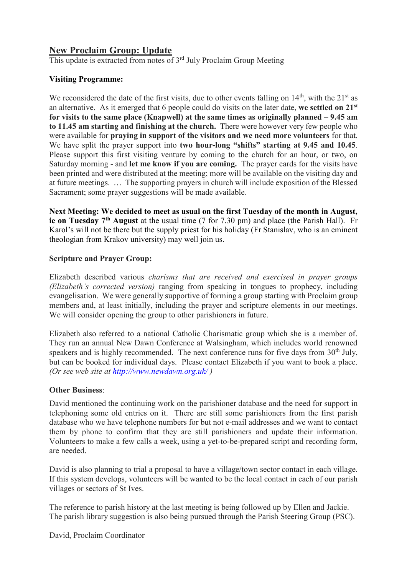## **New Proclaim Group: Update**

This update is extracted from notes of 3<sup>rd</sup> July Proclaim Group Meeting

## **Visiting Programme:**

We reconsidered the date of the first visits, due to other events falling on  $14<sup>th</sup>$ , with the  $21<sup>st</sup>$  as an alternative. As it emerged that 6 people could do visits on the later date, **we settled on 21st for visits to the same place (Knapwell) at the same times as originally planned – 9.45 am to 11.45 am starting and finishing at the church.** There were however very few people who were available for **praying in support of the visitors and we need more volunteers** for that. We have split the prayer support into **two hour-long "shifts" starting at 9.45 and 10.45**. Please support this first visiting venture by coming to the church for an hour, or two, on Saturday morning - and **let me know if you are coming.** The prayer cards for the visits have been printed and were distributed at the meeting; more will be available on the visiting day and at future meetings. … The supporting prayers in church will include exposition of the Blessed Sacrament; some prayer suggestions will be made available.

**Next Meeting: We decided to meet as usual on the first Tuesday of the month in August, ie on Tuesday 7th August** at the usual time (7 for 7.30 pm) and place (the Parish Hall). Fr Karol's will not be there but the supply priest for his holiday (Fr Stanislav, who is an eminent theologian from Krakov university) may well join us.

## **Scripture and Prayer Group:**

Elizabeth described various *charisms that are received and exercised in prayer groups (Elizabeth's corrected version)* ranging from speaking in tongues to prophecy, including evangelisation. We were generally supportive of forming a group starting with Proclaim group members and, at least initially, including the prayer and scripture elements in our meetings. We will consider opening the group to other parishioners in future.

Elizabeth also referred to a national Catholic Charismatic group which she is a member of. They run an annual New Dawn Conference at Walsingham, which includes world renowned speakers and is highly recommended. The next conference runs for five days from  $30<sup>th</sup>$  July, but can be booked for individual days. Please contact Elizabeth if you want to book a place. *(Or see web site at<http://www.newdawn.org.uk/> )*

#### **Other Business**:

David mentioned the continuing work on the parishioner database and the need for support in telephoning some old entries on it. There are still some parishioners from the first parish database who we have telephone numbers for but not e-mail addresses and we want to contact them by phone to confirm that they are still parishioners and update their information. Volunteers to make a few calls a week, using a yet-to-be-prepared script and recording form, are needed.

David is also planning to trial a proposal to have a village/town sector contact in each village. If this system develops, volunteers will be wanted to be the local contact in each of our parish villages or sectors of St Ives.

The reference to parish history at the last meeting is being followed up by Ellen and Jackie. The parish library suggestion is also being pursued through the Parish Steering Group (PSC).

David, Proclaim Coordinator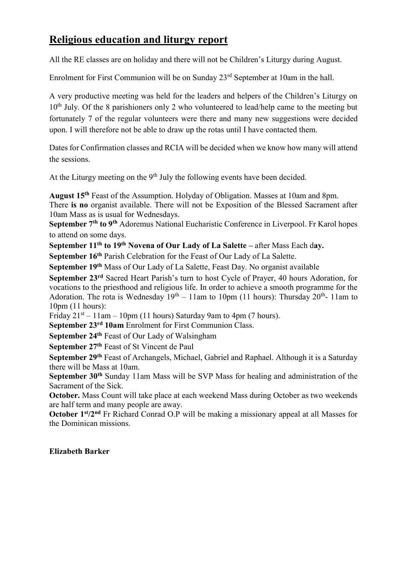# **Religious education and liturgy report**

All the RE classes are on holiday and there will not be Children's Liturgy during August.

Enrolment for First Communion will be on Sunday 23rd September at 10am in the hall.

A very productive meeting was held for the leaders and helpers of the Children's Liturgy on 10<sup>th</sup> July. Of the 8 parishioners only 2 who volunteered to lead/help came to the meeting but fortunately 7 of the regular volunteers were there and many new suggestions were decided upon. I will therefore not be able to draw up the rotas until I have contacted them.

Dates for Confirmation classes and RCIA will be decided when we know how many will attend the sessions.

At the Liturgy meeting on the  $9<sup>th</sup>$  July the following events have been decided.

**August 15th** Feast of the Assumption. Holyday of Obligation. Masses at 10am and 8pm.

There **is no** organist available. There will not be Exposition of the Blessed Sacrament after 10am Mass as is usual for Wednesdays.

**September 7th to 9th** Adoremus National Eucharistic Conference in Liverpool. Fr Karol hopes to attend on some days.

**September 11th to 19th Novena of Our Lady of La Salette –** after Mass Each d**ay.**

**September 16th** Parish Celebration for the Feast of Our Lady of La Salette.

**September 19th** Mass of Our Lady of La Salette, Feast Day. No organist available

**September 23rd** Sacred Heart Parish's turn to host Cycle of Prayer, 40 hours Adoration, for vocations to the priesthood and religious life. In order to achieve a smooth programme for the Adoration. The rota is Wednesday  $19<sup>th</sup> - 11$ am to 10pm (11 hours): Thursday  $20<sup>th</sup>$ - 11am to 10pm (11 hours):

Friday  $21^{st} - 11$ am  $- 10$ pm (11 hours) Saturday 9am to 4pm (7 hours).

**September 23rd 10am** Enrolment for First Communion Class.

**September 24th** Feast of Our Lady of Walsingham

**September 27th** Feast of St Vincent de Paul

**September 29th** Feast of Archangels, Michael, Gabriel and Raphael. Although it is a Saturday there will be Mass at 10am.

**September 30th** Sunday 11am Mass will be SVP Mass for healing and administration of the Sacrament of the Sick.

**October.** Mass Count will take place at each weekend Mass during October as two weekends are half term and many people are away.

**October 1st/2nd** Fr Richard Conrad O.P will be making a missionary appeal at all Masses for the Dominican missions.

## **Elizabeth Barker**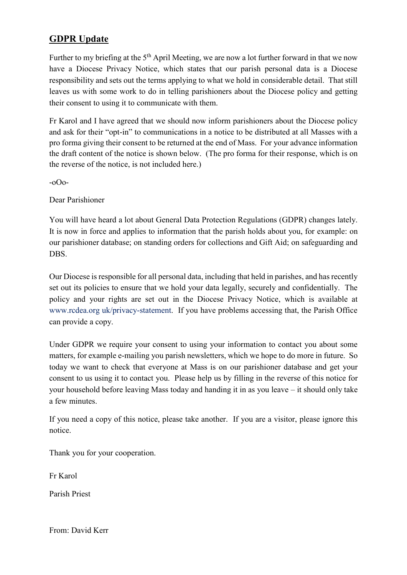# **GDPR Update**

Further to my briefing at the  $5<sup>th</sup>$  April Meeting, we are now a lot further forward in that we now have a Diocese Privacy Notice, which states that our parish personal data is a Diocese responsibility and sets out the terms applying to what we hold in considerable detail. That still leaves us with some work to do in telling parishioners about the Diocese policy and getting their consent to using it to communicate with them.

Fr Karol and I have agreed that we should now inform parishioners about the Diocese policy and ask for their "opt-in" to communications in a notice to be distributed at all Masses with a pro forma giving their consent to be returned at the end of Mass. For your advance information the draft content of the notice is shown below. (The pro forma for their response, which is on the reverse of the notice, is not included here.)

-oOo-

Dear Parishioner

You will have heard a lot about General Data Protection Regulations (GDPR) changes lately. It is now in force and applies to information that the parish holds about you, for example: on our parishioner database; on standing orders for collections and Gift Aid; on safeguarding and DBS.

Our Diocese is responsible for all personal data, including that held in parishes, and has recently set out its policies to ensure that we hold your data legally, securely and confidentially. The policy and your rights are set out in the Diocese Privacy Notice, which is available at www.rcdea.org uk/privacy-statement. If you have problems accessing that, the Parish Office can provide a copy.

Under GDPR we require your consent to using your information to contact you about some matters, for example e-mailing you parish newsletters, which we hope to do more in future. So today we want to check that everyone at Mass is on our parishioner database and get your consent to us using it to contact you. Please help us by filling in the reverse of this notice for your household before leaving Mass today and handing it in as you leave – it should only take a few minutes.

If you need a copy of this notice, please take another. If you are a visitor, please ignore this notice.

Thank you for your cooperation.

Fr Karol

Parish Priest

From: David Kerr